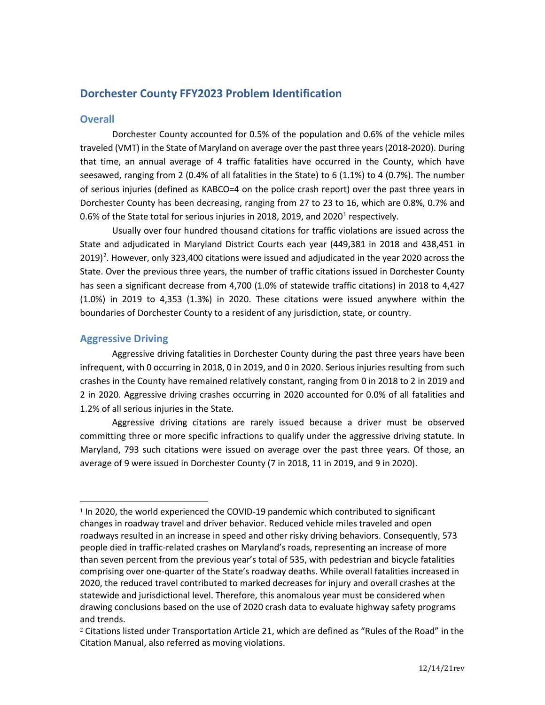# **Dorchester County FFY2023 Problem Identification**

## **Overall**

Dorchester County accounted for 0.5% of the population and 0.6% of the vehicle miles traveled (VMT) in the State of Maryland on average over the past three years (2018-2020). During that time, an annual average of 4 traffic fatalities have occurred in the County, which have seesawed, ranging from 2 (0.4% of all fatalities in the State) to 6 (1.1%) to 4 (0.7%). The number of serious injuries (defined as KABCO=4 on the police crash report) over the past three years in Dorchester County has been decreasing, ranging from 27 to 23 to 16, which are 0.8%, 0.7% and 0.6% of the State total for serious injuries in 20[1](#page-0-0)8, 2019, and 2020<sup>1</sup> respectively.

Usually over four hundred thousand citations for traffic violations are issued across the State and adjudicated in Maryland District Courts each year (449,381 in 2018 and 438,451 in [2](#page-0-1)019)<sup>2</sup>. However, only 323,400 citations were issued and adjudicated in the year 2020 across the State. Over the previous three years, the number of traffic citations issued in Dorchester County has seen a significant decrease from 4,700 (1.0% of statewide traffic citations) in 2018 to 4,427 (1.0%) in 2019 to 4,353 (1.3%) in 2020. These citations were issued anywhere within the boundaries of Dorchester County to a resident of any jurisdiction, state, or country.

## **Aggressive Driving**

Aggressive driving fatalities in Dorchester County during the past three years have been infrequent, with 0 occurring in 2018, 0 in 2019, and 0 in 2020. Serious injuries resulting from such crashes in the County have remained relatively constant, ranging from 0 in 2018 to 2 in 2019 and 2 in 2020. Aggressive driving crashes occurring in 2020 accounted for 0.0% of all fatalities and 1.2% of all serious injuries in the State.

Aggressive driving citations are rarely issued because a driver must be observed committing three or more specific infractions to qualify under the aggressive driving statute. In Maryland, 793 such citations were issued on average over the past three years. Of those, an average of 9 were issued in Dorchester County (7 in 2018, 11 in 2019, and 9 in 2020).

<span id="page-0-0"></span><sup>1</sup> In 2020, the world experienced the COVID-19 pandemic which contributed to significant changes in roadway travel and driver behavior. Reduced vehicle miles traveled and open roadways resulted in an increase in speed and other risky driving behaviors. Consequently, 573 people died in traffic-related crashes on Maryland's roads, representing an increase of more than seven percent from the previous year's total of 535, with pedestrian and bicycle fatalities comprising over one-quarter of the State's roadway deaths. While overall fatalities increased in 2020, the reduced travel contributed to marked decreases for injury and overall crashes at the statewide and jurisdictional level. Therefore, this anomalous year must be considered when drawing conclusions based on the use of 2020 crash data to evaluate highway safety programs and trends.

<span id="page-0-1"></span><sup>&</sup>lt;sup>2</sup> Citations listed under Transportation Article 21, which are defined as "Rules of the Road" in the Citation Manual, also referred as moving violations.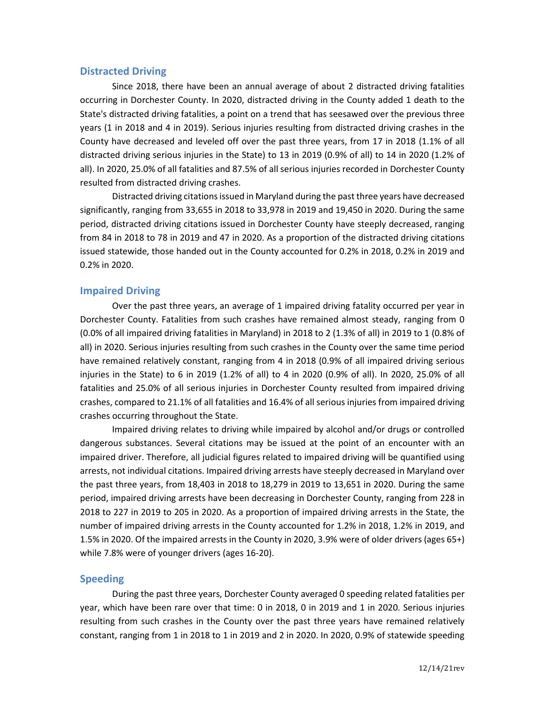### **Distracted Driving**

Since 2018, there have been an annual average of about 2 distracted driving fatalities occurring in Dorchester County. In 2020, distracted driving in the County added 1 death to the State's distracted driving fatalities, a point on a trend that has seesawed over the previous three years (1 in 2018 and 4 in 2019). Serious injuries resulting from distracted driving crashes in the County have decreased and leveled off over the past three years, from 17 in 2018 (1.1% of all distracted driving serious injuries in the State) to 13 in 2019 (0.9% of all) to 14 in 2020 (1.2% of all). In 2020, 25.0% of all fatalities and 87.5% of all serious injuries recorded in Dorchester County resulted from distracted driving crashes.

Distracted driving citations issued in Maryland during the past three years have decreased significantly, ranging from 33,655 in 2018 to 33,978 in 2019 and 19,450 in 2020. During the same period, distracted driving citations issued in Dorchester County have steeply decreased, ranging from 84 in 2018 to 78 in 2019 and 47 in 2020. As a proportion of the distracted driving citations issued statewide, those handed out in the County accounted for 0.2% in 2018, 0.2% in 2019 and 0.2% in 2020.

### **Impaired Driving**

Over the past three years, an average of 1 impaired driving fatality occurred per year in Dorchester County. Fatalities from such crashes have remained almost steady, ranging from 0 (0.0% of all impaired driving fatalities in Maryland) in 2018 to 2 (1.3% of all) in 2019 to 1 (0.8% of all) in 2020. Serious injuries resulting from such crashes in the County over the same time period have remained relatively constant, ranging from 4 in 2018 (0.9% of all impaired driving serious injuries in the State) to 6 in 2019 (1.2% of all) to 4 in 2020 (0.9% of all). In 2020, 25.0% of all fatalities and 25.0% of all serious injuries in Dorchester County resulted from impaired driving crashes, compared to 21.1% of all fatalities and 16.4% of all serious injuries from impaired driving crashes occurring throughout the State.

Impaired driving relates to driving while impaired by alcohol and/or drugs or controlled dangerous substances. Several citations may be issued at the point of an encounter with an impaired driver. Therefore, all judicial figures related to impaired driving will be quantified using arrests, not individual citations. Impaired driving arrests have steeply decreased in Maryland over the past three years, from 18,403 in 2018 to 18,279 in 2019 to 13,651 in 2020. During the same period, impaired driving arrests have been decreasing in Dorchester County, ranging from 228 in 2018 to 227 in 2019 to 205 in 2020. As a proportion of impaired driving arrests in the State, the number of impaired driving arrests in the County accounted for 1.2% in 2018, 1.2% in 2019, and 1.5% in 2020. Of the impaired arrests in the County in 2020, 3.9% were of older drivers (ages 65+) while 7.8% were of younger drivers (ages 16-20).

### **Speeding**

During the past three years, Dorchester County averaged 0 speeding related fatalities per year, which have been rare over that time: 0 in 2018, 0 in 2019 and 1 in 2020. Serious injuries resulting from such crashes in the County over the past three years have remained relatively constant, ranging from 1 in 2018 to 1 in 2019 and 2 in 2020. In 2020, 0.9% of statewide speeding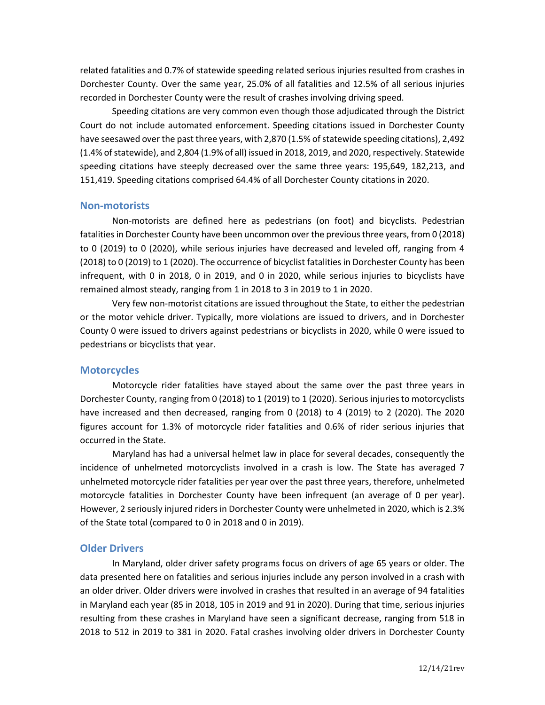related fatalities and 0.7% of statewide speeding related serious injuries resulted from crashes in Dorchester County. Over the same year, 25.0% of all fatalities and 12.5% of all serious injuries recorded in Dorchester County were the result of crashes involving driving speed.

Speeding citations are very common even though those adjudicated through the District Court do not include automated enforcement. Speeding citations issued in Dorchester County have seesawed over the past three years, with 2,870 (1.5% of statewide speeding citations), 2,492 (1.4% of statewide), and 2,804 (1.9% of all) issued in 2018, 2019, and 2020, respectively. Statewide speeding citations have steeply decreased over the same three years: 195,649, 182,213, and 151,419. Speeding citations comprised 64.4% of all Dorchester County citations in 2020.

#### **Non-motorists**

Non-motorists are defined here as pedestrians (on foot) and bicyclists. Pedestrian fatalities in Dorchester County have been uncommon over the previous three years, from 0 (2018) to 0 (2019) to 0 (2020), while serious injuries have decreased and leveled off, ranging from 4 (2018) to 0 (2019) to 1 (2020). The occurrence of bicyclist fatalities in Dorchester County has been infrequent, with 0 in 2018, 0 in 2019, and 0 in 2020, while serious injuries to bicyclists have remained almost steady, ranging from 1 in 2018 to 3 in 2019 to 1 in 2020.

Very few non-motorist citations are issued throughout the State, to either the pedestrian or the motor vehicle driver. Typically, more violations are issued to drivers, and in Dorchester County 0 were issued to drivers against pedestrians or bicyclists in 2020, while 0 were issued to pedestrians or bicyclists that year.

#### **Motorcycles**

Motorcycle rider fatalities have stayed about the same over the past three years in Dorchester County, ranging from 0 (2018) to 1 (2019) to 1 (2020). Serious injuries to motorcyclists have increased and then decreased, ranging from 0 (2018) to 4 (2019) to 2 (2020). The 2020 figures account for 1.3% of motorcycle rider fatalities and 0.6% of rider serious injuries that occurred in the State.

Maryland has had a universal helmet law in place for several decades, consequently the incidence of unhelmeted motorcyclists involved in a crash is low. The State has averaged 7 unhelmeted motorcycle rider fatalities per year over the past three years, therefore, unhelmeted motorcycle fatalities in Dorchester County have been infrequent (an average of 0 per year). However, 2 seriously injured riders in Dorchester County were unhelmeted in 2020, which is 2.3% of the State total (compared to 0 in 2018 and 0 in 2019).

### **Older Drivers**

In Maryland, older driver safety programs focus on drivers of age 65 years or older. The data presented here on fatalities and serious injuries include any person involved in a crash with an older driver. Older drivers were involved in crashes that resulted in an average of 94 fatalities in Maryland each year (85 in 2018, 105 in 2019 and 91 in 2020). During that time, serious injuries resulting from these crashes in Maryland have seen a significant decrease, ranging from 518 in 2018 to 512 in 2019 to 381 in 2020. Fatal crashes involving older drivers in Dorchester County